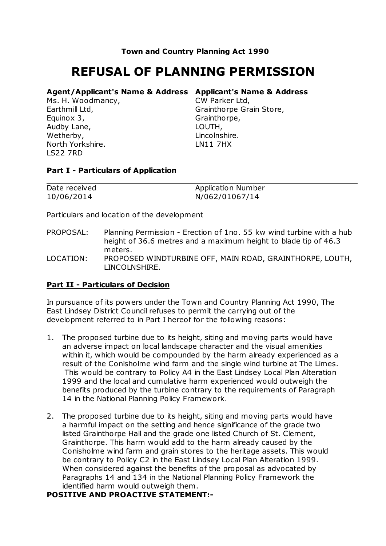# **REFUSAL OF PLANNING PERMISSION**

#### **Agent/Applicant's Name & Address Applicant's Name & Address**

Ms. H. Woodmancy, Earthmill Ltd, Equinox 3, Audby Lane, Wetherby, North Yorkshire. LS22 7RD

CW Parker Ltd, Grainthorpe Grain Store, Grainthorpe, LOUTH, Lincolnshire. LN11 7HX

## **Part I - Particulars of Application**

| Date received | <b>Application Number</b> |
|---------------|---------------------------|
| 10/06/2014    | N/062/01067/14            |

Particulars and location of the development

PROPOSAL: Planning Permission - Erection of 1no. 55 kw wind turbine with a hub height of 36.6 metres and a maximum height to blade tip of 46.3 meters. LOCATION: PROPOSED WINDTURBINE OFF, MAIN ROAD, GRAINTHORPE, LOUTH, LINCOLNSHIRE.

## **Part II - Particulars of Decision**

In pursuance of its powers under the Town and Country Planning Act 1990, The East Lindsey District Council refuses to permit the carrying out of the development referred to in Part I hereof for the following reasons:

- 1. The proposed turbine due to its height, siting and moving parts would have an adverse impact on local landscape character and the visual amenities within it, which would be compounded by the harm already experienced as a result of the Conisholme wind farm and the single wind turbine at The Limes. This would be contrary to Policy A4 in the East Lindsey Local Plan Alteration 1999 and the local and cumulative harm experienced would outweigh the benefits produced by the turbine contrary to the requirements of Paragraph 14 in the National Planning Policy Framework.
- 2. The proposed turbine due to its height, siting and moving parts would have a harmful impact on the setting and hence significance of the grade two listed Grainthorpe Hall and the grade one listed Church of St. Clement, Grainthorpe. This harm would add to the harm already caused by the Conisholme wind farm and grain stores to the heritage assets. This would be contrary to Policy C2 in the East Lindsey Local Plan Alteration 1999. When considered against the benefits of the proposal as advocated by Paragraphs 14 and 134 in the National Planning Policy Framework the identified harm would outweigh them.

## **POSITIVE AND PROACTIVE STATEMENT:-**